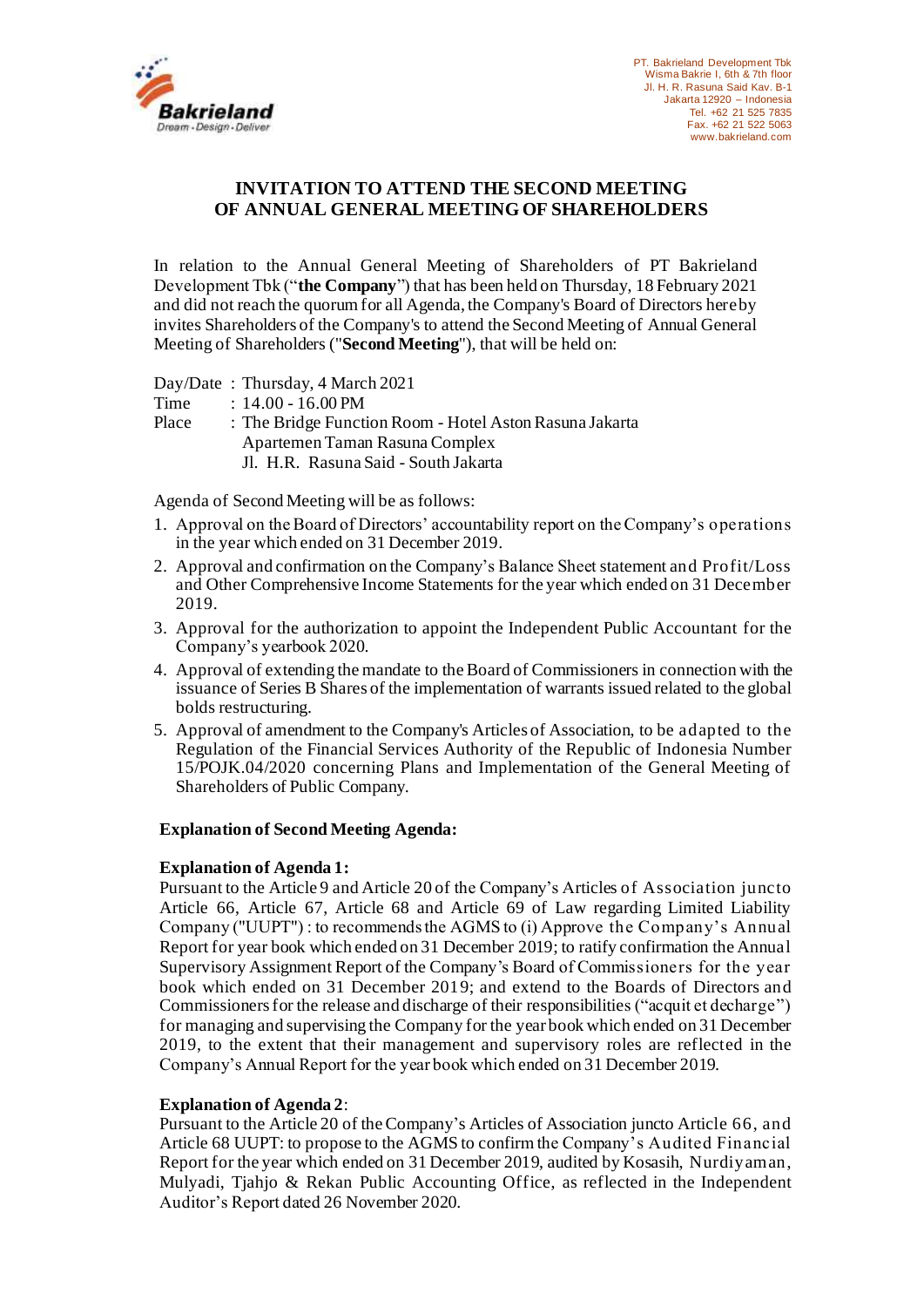

# **INVITATION TO ATTEND THE SECOND MEETING OF ANNUAL GENERAL MEETING OF SHAREHOLDERS**

In relation to the Annual General Meeting of Shareholders of PT Bakrieland Development Tbk ("**the Company**") that has been held on Thursday, 18 February 2021 and did not reach the quorum for all Agenda, the Company's Board of Directors hereby invites Shareholders of the Company's to attend the Second Meeting of Annual General Meeting of Shareholders ("**Second Meeting**"), that will be held on:

Day/Date : Thursday, 4 March 2021

Time : 14.00 - 16.00 PM

Place : The Bridge Function Room - Hotel Aston Rasuna Jakarta Apartemen Taman Rasuna Complex Jl. H.R. Rasuna Said - South Jakarta

Agenda of Second Meeting will be as follows:

- 1. Approval on the Board of Directors' accountability report on the Company's operations in the year which ended on 31 December 2019.
- 2. Approval and confirmation on the Company's Balance Sheet statement and Profit/Loss and Other Comprehensive Income Statements for the year which ended on 31 December 2019.
- 3. Approval for the authorization to appoint the Independent Public Accountant for the Company's yearbook 2020.
- 4. Approval of extending the mandate to the Board of Commissioners in connection with the issuance of Series B Shares of the implementation of warrants issued related to the global bolds restructuring.
- 5. Approval of amendment to the Company's Articles of Association, to be adapted to the Regulation of the Financial Services Authority of the Republic of Indonesia Number 15/POJK.04/2020 concerning Plans and Implementation of the General Meeting of Shareholders of Public Company.

### **Explanation of Second Meeting Agenda:**

### **Explanation of Agenda 1:**

Pursuant to the Article 9 and Article 20 of the Company's Articles of Association juncto Article 66, Article 67, Article 68 and Article 69 of Law regarding Limited Liability Company ("UUPT") : to recommends the AGMS to (i) Approve the Company's Annual Report for year book which ended on 31 December 2019; to ratify confirmation the Annual Supervisory Assignment Report of the Company's Board of Commissioners for the year book which ended on 31 December 2019; and extend to the Boards of Directors and Commissioners for the release and discharge of their responsibilities ("acquit et decharge") for managing and supervising the Company for the year book which ended on 31 December 2019, to the extent that their management and supervisory roles are reflected in the Company's Annual Report for the year book which ended on 31 December 2019.

### **Explanation of Agenda 2**:

Pursuant to the Article 20 of the Company's Articles of Association juncto Article 66, and Article 68 UUPT: to propose to the AGMS to confirm the Company's Audited Financial Report for the year which ended on 31 December 2019, audited by Kosasih, Nurdiyaman, Mulyadi, Tjahjo & Rekan Public Accounting Office, as reflected in the Independent Auditor's Report dated 26 November 2020.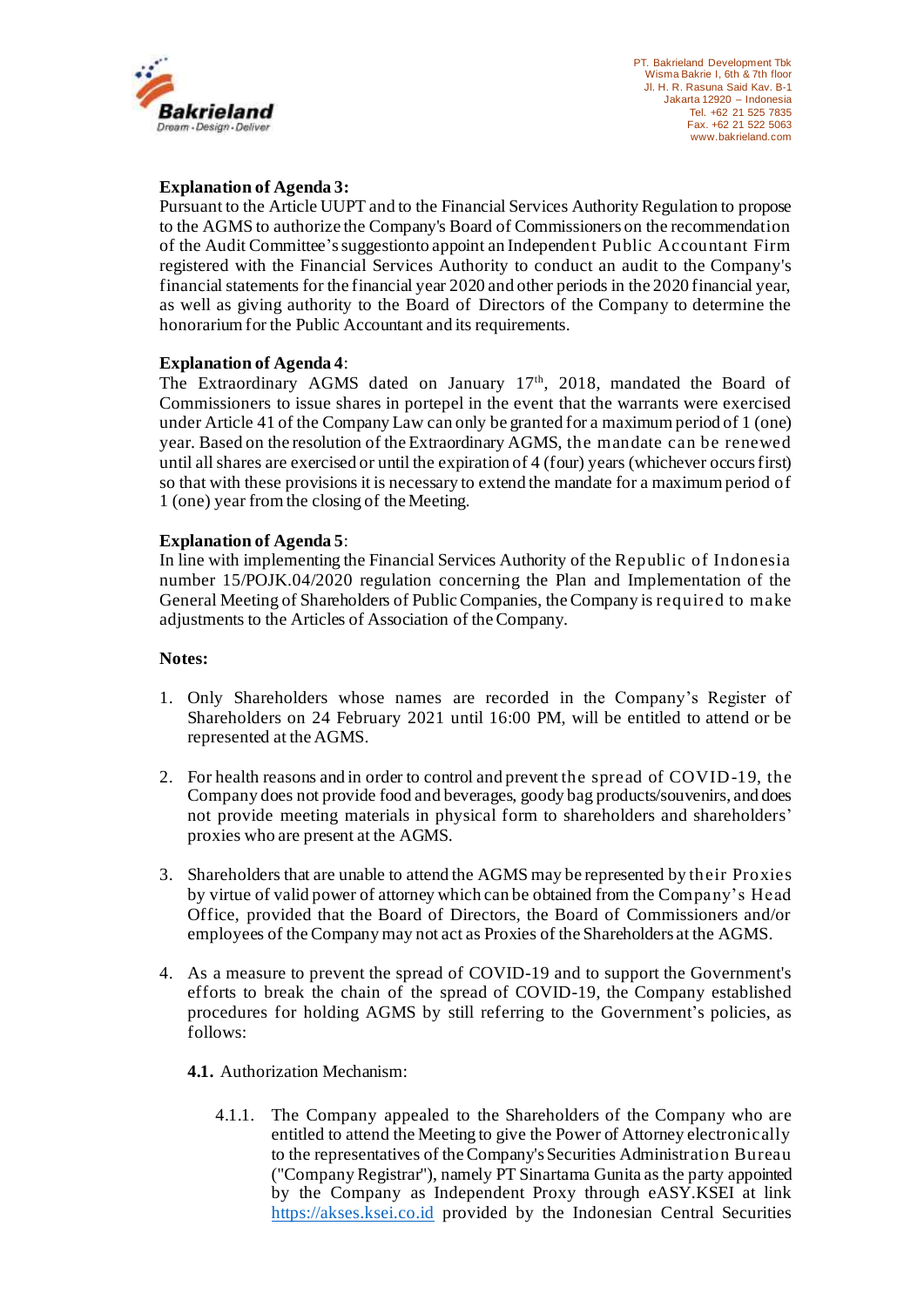

### **Explanation of Agenda 3:**

Pursuant to the Article UUPT and to the Financial Services Authority Regulation to propose to the AGMS to authorize the Company's Board of Commissioners on the recommendation of the Audit Committee's suggestionto appoint an Independent Public Accountant Firm registered with the Financial Services Authority to conduct an audit to the Company's financial statements for the financial year 2020 and other periods in the 2020 financial year, as well as giving authority to the Board of Directors of the Company to determine the honorarium for the Public Accountant and its requirements.

### **Explanation of Agenda 4**:

The Extraordinary AGMS dated on January 17<sup>th</sup>, 2018, mandated the Board of Commissioners to issue shares in portepel in the event that the warrants were exercised under Article 41 of the Company Law can only be granted for a maximum period of 1 (one) year. Based on the resolution of the Extraordinary AGMS, the mandate can be renewed until all shares are exercised or until the expiration of 4 (four) years (whichever occurs first) so that with these provisions it is necessary to extend the mandate for a maximum period of 1 (one) year from the closing of the Meeting.

### **Explanation of Agenda 5**:

In line with implementing the Financial Services Authority of the Republic of Indonesia number 15/POJK.04/2020 regulation concerning the Plan and Implementation of the General Meeting of Shareholders of Public Companies, the Company is required to make adjustments to the Articles of Association of the Company.

### **Notes:**

- 1. Only Shareholders whose names are recorded in the Company's Register of Shareholders on 24 February 2021 until 16:00 PM, will be entitled to attend or be represented at the AGMS.
- 2. For health reasons and in order to control and prevent the spread of COVID-19, the Company does not provide food and beverages, goody bag products/souvenirs, and does not provide meeting materials in physical form to shareholders and shareholders' proxies who are present at the AGMS.
- 3. Shareholders that are unable to attend the AGMS may be represented by their Proxies by virtue of valid power of attorney which can be obtained from the Company's Head Office, provided that the Board of Directors, the Board of Commissioners and/or employees of the Company may not act as Proxies of the Shareholders at the AGMS.
- 4. As a measure to prevent the spread of COVID-19 and to support the Government's efforts to break the chain of the spread of COVID-19, the Company established procedures for holding AGMS by still referring to the Government's policies, as follows:

## **4.1.** Authorization Mechanism:

4.1.1. The Company appealed to the Shareholders of the Company who are entitled to attend the Meeting to give the Power of Attorney electronically to the representatives of the Company's Securities Administration Bureau ("Company Registrar"), namely PT Sinartama Gunita as the party appointed by the Company as Independent Proxy through eASY.KSEI at link [https://akses.ksei.co.id](https://akses.ksei.co.id/) provided by the Indonesian Central Securities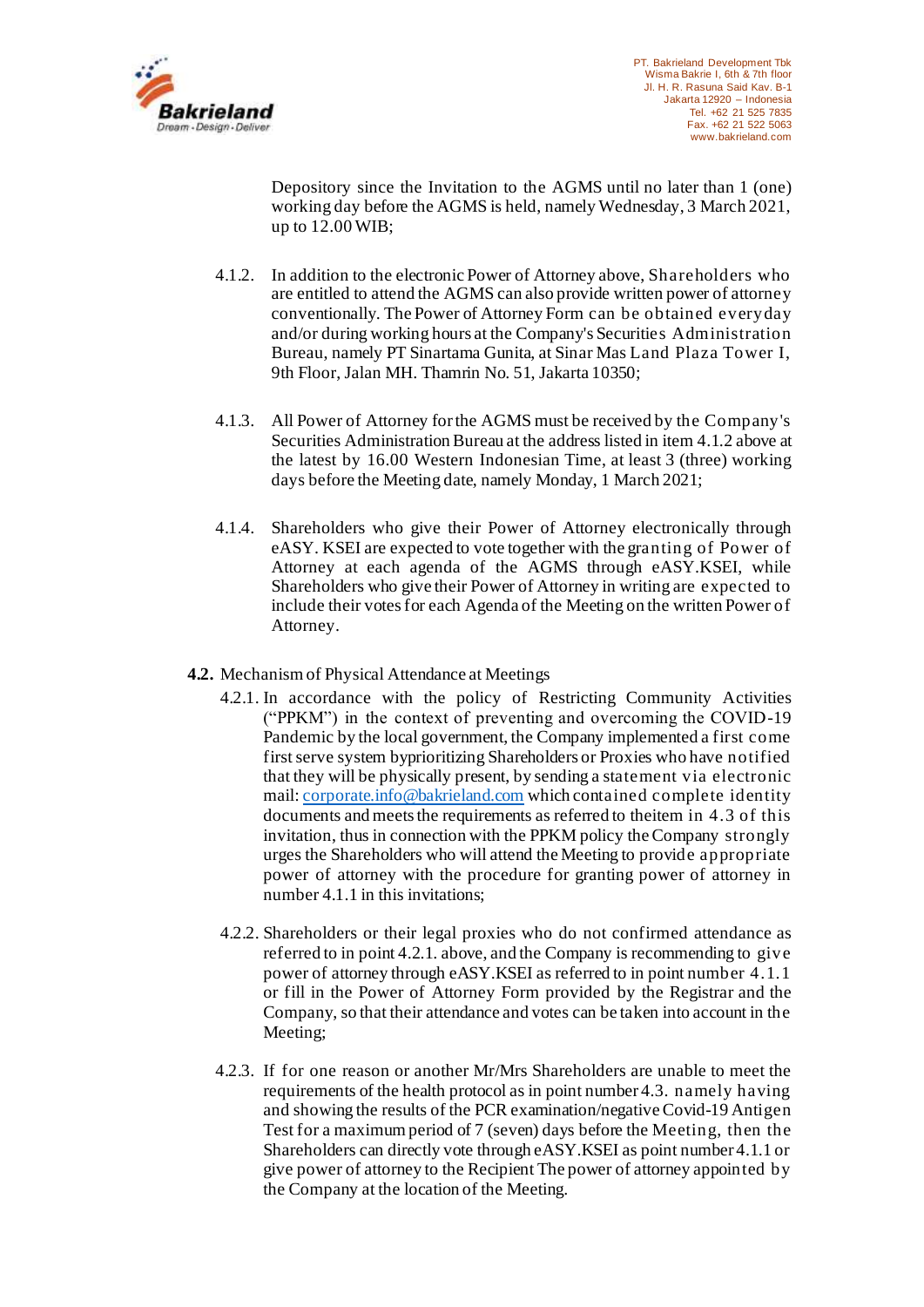

Depository since the Invitation to the AGMS until no later than 1 (one) working day before the AGMS is held, namely Wednesday, 3 March 2021, up to 12.00 WIB;

- 4.1.2. In addition to the electronic Power of Attorney above, Shareholders who are entitled to attend the AGMS can also provide written power of attorney conventionally. The Power of Attorney Form can be obtained everyday and/or during working hours at the Company's Securities Administration Bureau, namely PT Sinartama Gunita, at Sinar Mas Land Plaza Tower I, 9th Floor, Jalan MH. Thamrin No. 51, Jakarta 10350;
- 4.1.3. All Power of Attorney for the AGMS must be received by the Company's Securities Administration Bureau at the address listed in item 4.1.2 above at the latest by 16.00 Western Indonesian Time, at least 3 (three) working days before the Meeting date, namely Monday, 1 March 2021;
- 4.1.4. Shareholders who give their Power of Attorney electronically through eASY. KSEI are expected to vote together with the granting of Power of Attorney at each agenda of the AGMS through eASY.KSEI, while Shareholders who give their Power of Attorney in writing are expected to include their votes for each Agenda of the Meeting on the written Power of Attorney.
- **4.2.** Mechanism of Physical Attendance at Meetings
	- 4.2.1. In accordance with the policy of Restricting Community Activities ("PPKM") in the context of preventing and overcoming the COVID-19 Pandemic by the local government, the Company implemented a first come first serve system byprioritizing Shareholders or Proxies who have notified that they will be physically present, by sending a statement via electronic mail: [corporate.info@bakrieland.com](mailto:corporate.info@bakrieland.com) which contained complete identity documents and meets the requirements as referred to theitem in 4.3 of this invitation, thus in connection with the PPKM policy the Company strongly urges the Shareholders who will attend the Meeting to provide appropriate power of attorney with the procedure for granting power of attorney in number 4.1.1 in this invitations;
	- 4.2.2. Shareholders or their legal proxies who do not confirmed attendance as referred to in point 4.2.1. above, and the Company is recommending to give power of attorney through eASY.KSEI as referred to in point number 4.1.1 or fill in the Power of Attorney Form provided by the Registrar and the Company, so that their attendance and votes can be taken into account in the Meeting;
	- 4.2.3. If for one reason or another Mr/Mrs Shareholders are unable to meet the requirements of the health protocol as in point number 4.3. namely having and showing the results of the PCR examination/negative Covid-19 Antigen Test for a maximum period of 7 (seven) days before the Meeting, then the Shareholders can directly vote through eASY.KSEI as point number 4.1.1 or give power of attorney to the Recipient The power of attorney appointed by the Company at the location of the Meeting.